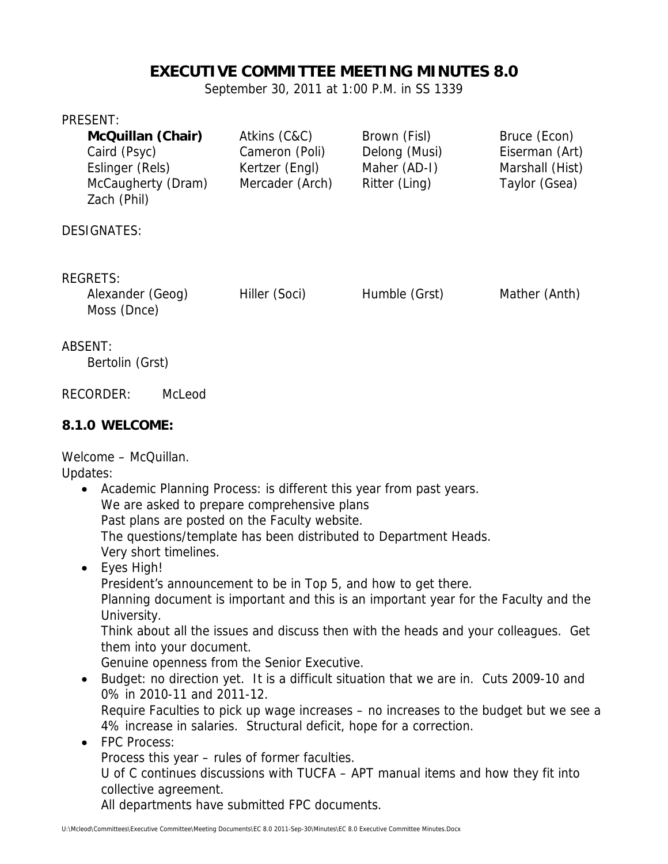# **EXECUTIVE COMMITTEE MEETING MINUTES 8.0**

September 30, 2011 at 1:00 P.M. in SS 1339

#### PRESENT:

|                                                    | <b>McQuillan (Chair)</b><br>Caird (Psyc)<br>Eslinger (Rels)<br>McCaugherty (Dram)<br>Zach (Phil) | Atkins (C&C)<br>Cameron (Poli)<br>Kertzer (Engl)<br>Mercader (Arch) | Brown (Fisl)<br>Delong (Musi)<br>Maher (AD-I)<br>Ritter (Ling) | Bruce (Econ)<br>Eiserman (Art)<br>Marshall (Hist)<br>Taylor (Gsea) |
|----------------------------------------------------|--------------------------------------------------------------------------------------------------|---------------------------------------------------------------------|----------------------------------------------------------------|--------------------------------------------------------------------|
|                                                    | <b>DESIGNATES:</b>                                                                               |                                                                     |                                                                |                                                                    |
| <b>REGRETS:</b><br>Alexander (Geog)<br>Moss (Dnce) |                                                                                                  | Hiller (Soci)                                                       | Humble (Grst)                                                  | Mather (Anth)                                                      |
|                                                    | ABSENT:<br>Bertolin (Grst)                                                                       |                                                                     |                                                                |                                                                    |
|                                                    | <b>RECORDER:</b><br>McLeod                                                                       |                                                                     |                                                                |                                                                    |

#### **8.1.0 WELCOME:**

Welcome – McQuillan.

Updates:

U:\Mcleod\Committees\Executive Committee\Meeting Documents\EC 8.0 2011-Sep-30\Minutes\EC 8.0 Executive Committee Minutes.Docx Academic Planning Process: is different this year from past years. We are asked to prepare comprehensive plans Past plans are posted on the Faculty website. The questions/template has been distributed to Department Heads. Very short timelines. Eyes High! President's announcement to be in Top 5, and how to get there. Planning document is important and this is an important year for the Faculty and the University. Think about all the issues and discuss then with the heads and your colleagues. Get them into your document. Genuine openness from the Senior Executive. Budget: no direction yet. It is a difficult situation that we are in. Cuts 2009-10 and 0% in 2010-11 and 2011-12. Require Faculties to pick up wage increases – no increases to the budget but we see a 4% increase in salaries. Structural deficit, hope for a correction. • FPC Process: Process this year – rules of former faculties. U of C continues discussions with TUCFA – APT manual items and how they fit into collective agreement. All departments have submitted FPC documents.